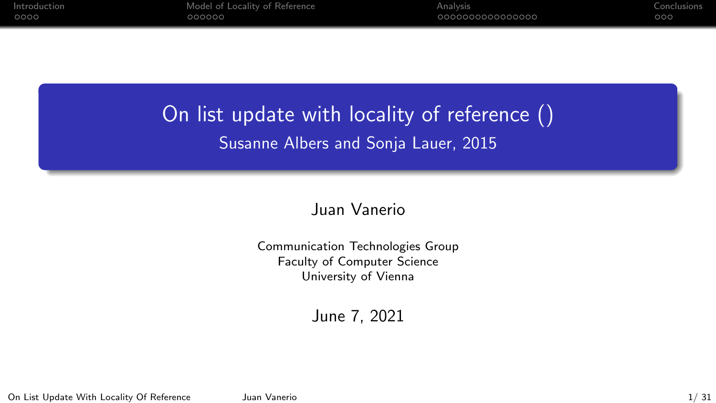# On list update with locality of reference () Susanne Albers and Sonja Lauer, 2015

### Juan Vanerio

Communication Technologies Group Faculty of Computer Science University of Vienna

June 7, 2021

On List Update With Locality Of Reference Juan Vanerio 1/ 31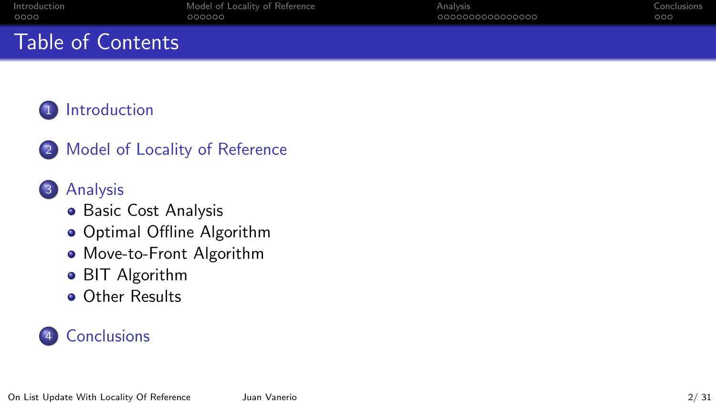# Table of Contents

## **[Introduction](#page-2-0)**

2 [Model of Locality of Reference](#page-6-0)

## 3 [Analysis](#page-12-0)

- [Basic Cost Analysis](#page-13-0)
- **[Optimal Offline Algorithm](#page-18-0)**
- [Move-to-Front Algorithm](#page-21-0)
- **[BIT Algorithm](#page-24-0)**
- **o** [Other Results](#page-27-0)

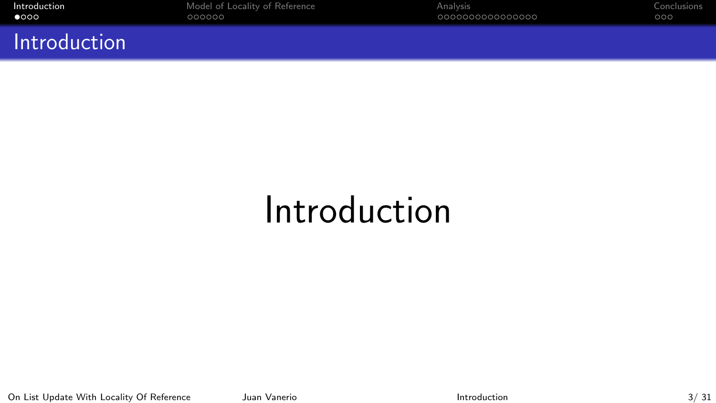<span id="page-2-0"></span>

Introduction

[Introduction](#page-2-0) [Model of Locality of Reference](#page-6-0) [Analysis](#page-12-0) [Conclusions](#page-28-0)

# Introduction

On List Update With Locality Of Reference Juan Vanerio Juan Vanerio [Introduction](#page-2-0) 1000 111 112 13 31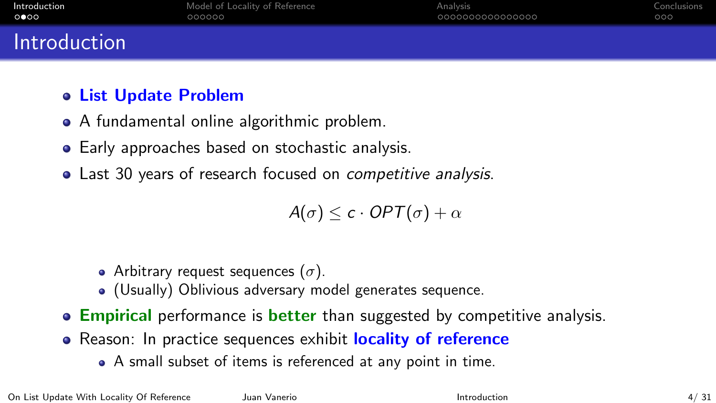| Introduction | Model of Locality of Reference | Analysis        | Conclusions |
|--------------|--------------------------------|-----------------|-------------|
| 0 000        | 000000                         | 000000000000000 | 000         |
| Introduction |                                |                 |             |

- List Update Problem
- A fundamental online algorithmic problem.
- Early approaches based on stochastic analysis.
- Last 30 years of research focused on *competitive analysis*.

$$
A(\sigma) \leq c \cdot OPT(\sigma) + \alpha
$$

- Arbitrary request sequences  $(\sigma)$ .
- (Usually) Oblivious adversary model generates sequence.
- **Empirical** performance is **better** than suggested by competitive analysis.
- Reason: In practice sequences exhibit **locality of reference** 
	- A small subset of items is referenced at any point in time.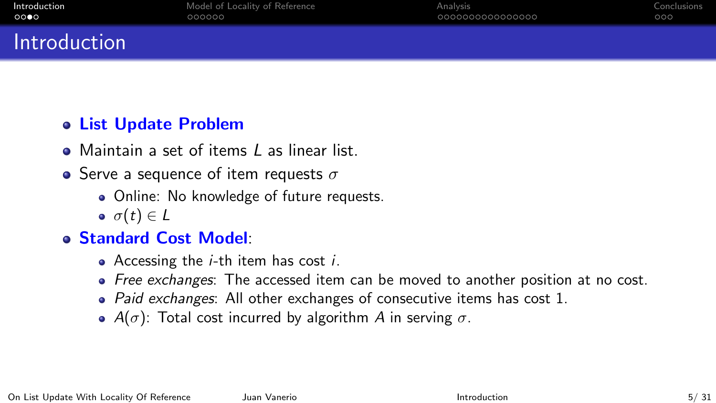# Introduction

## List Update Problem

- Maintain a set of items L as linear list.
- Serve a sequence of item requests  $\sigma$ 
	- Online: No knowledge of future requests.
	- $\bullet \ \sigma(t) \in L$

## Standard Cost Model:

- Accessing the  $i$ -th item has cost  $i$ .
- Free exchanges: The accessed item can be moved to another position at no cost.
- $\bullet$  Paid exchanges: All other exchanges of consecutive items has cost 1.
- $A(\sigma)$ : Total cost incurred by algorithm A in serving  $\sigma$ .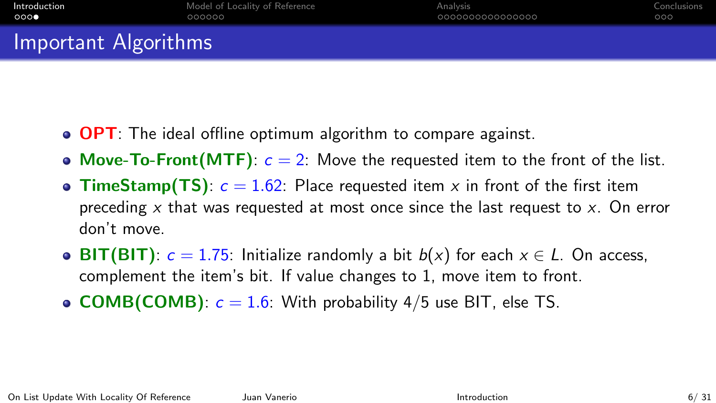# Important Algorithms

- **OPT**: The ideal offline optimum algorithm to compare against.
- Move-To-Front(MTF):  $c = 2$ : Move the requested item to the front of the list.
- TimeStamp(TS):  $c = 1.62$ : Place requested item x in front of the first item preceding  $x$  that was requested at most once since the last request to  $x$ . On error don't move.
- BIT(BIT):  $c = 1.75$ : Initialize randomly a bit  $b(x)$  for each  $x \in L$ . On access, complement the item's bit. If value changes to 1, move item to front.
- **COMB(COMB)**:  $c = 1.6$ : With probability 4/5 use BIT, else TS.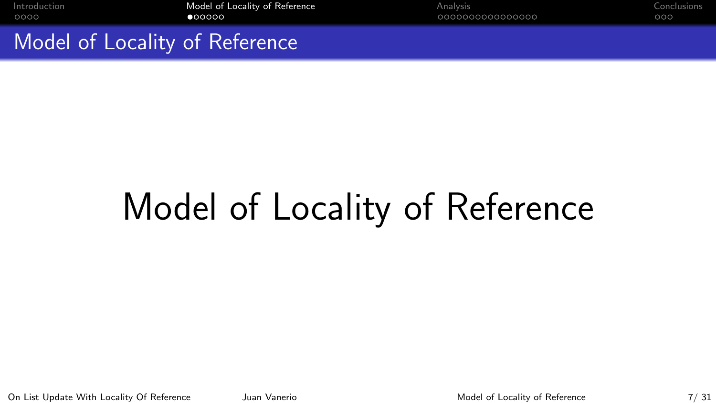<span id="page-6-0"></span>

Model of Locality of Reference

# Model of Locality of Reference

On List Update With Locality Of Reference Juan Vanerio Juan Vanerio [Model of Locality of Reference](#page-6-0) 7/ 31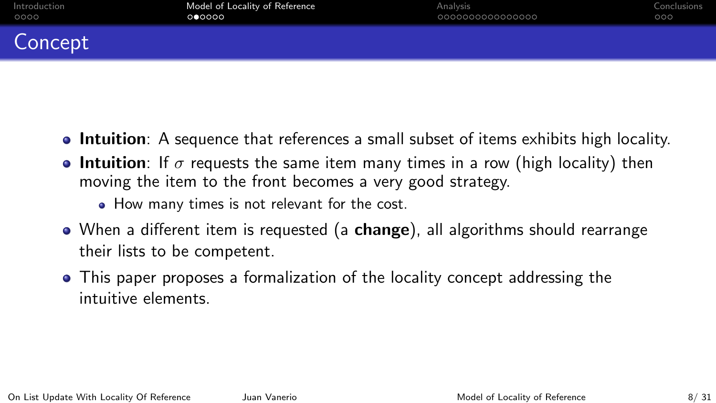## Concept

- Intuition: A sequence that references a small subset of items exhibits high locality.
- **Intuition**: If  $\sigma$  requests the same item many times in a row (high locality) then moving the item to the front becomes a very good strategy.
	- How many times is not relevant for the cost.
- When a different item is requested (a **change**), all algorithms should rearrange their lists to be competent.
- This paper proposes a formalization of the locality concept addressing the intuitive elements.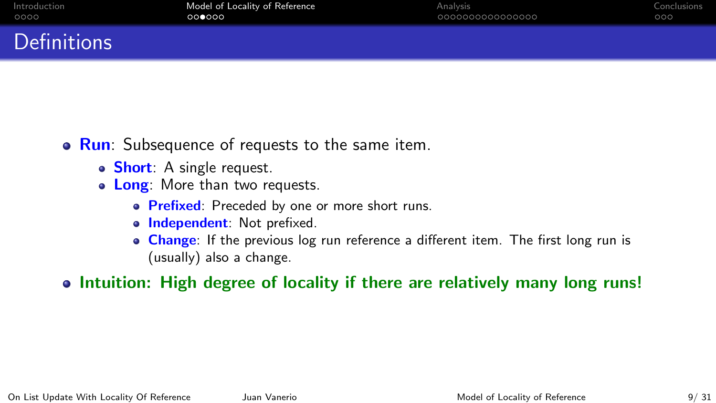# Definitions

- Run: Subsequence of requests to the same item.
	- Short: A single request.
	- Long: More than two requests.
		- **Prefixed:** Preceded by one or more short runs.
		- o Independent: Not prefixed.
		- **Change:** If the previous log run reference a different item. The first long run is (usually) also a change.
- Intuition: High degree of locality if there are relatively many long runs!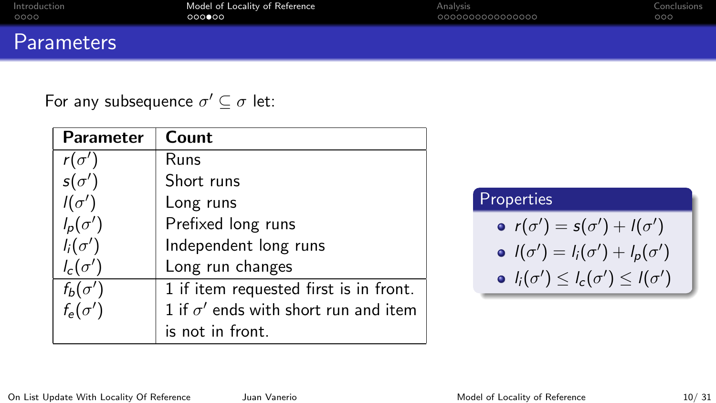|      | Introduction |
|------|--------------|
| 0000 |              |

## **Parameters**

For any subsequence  $\sigma' \subseteq \sigma$  let:

| <b>Parameter</b> | Count                                       |
|------------------|---------------------------------------------|
| $r(\sigma')$     | Runs                                        |
| $s(\sigma')$     | Short runs                                  |
| $I(\sigma')$     | Long runs                                   |
| $l_p(\sigma')$   | Prefixed long runs                          |
| $l_i(\sigma')$   | Independent long runs                       |
| $l_c(\sigma')$   | Long run changes                            |
| $f_b(\sigma')$   | 1 if item requested first is in front.      |
| $f_e(\sigma')$   | 1 if $\sigma'$ ends with short run and item |
|                  | is not in front.                            |

#### Properties

\n- $$
r(\sigma') = s(\sigma') + l(\sigma')
$$
\n- $l(\sigma') = l_i(\sigma') + l_p(\sigma')$
\n- $l_i(\sigma') \leq l_c(\sigma') \leq l(\sigma')$
\n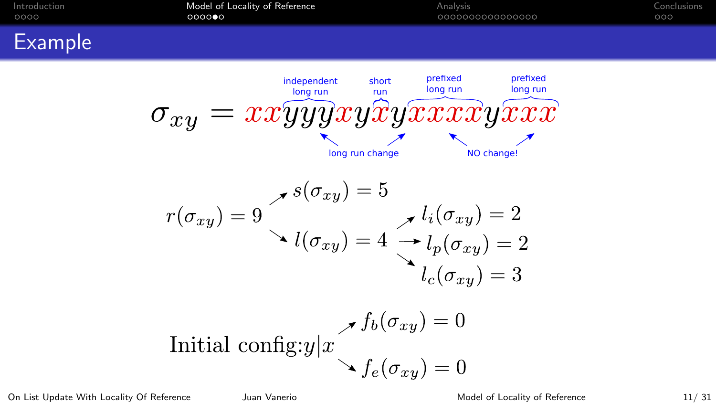

On List Update With Locality Of Reference Juan Vanerio Juan Christian [Model of Locality of Reference](#page-6-0) 11/ 31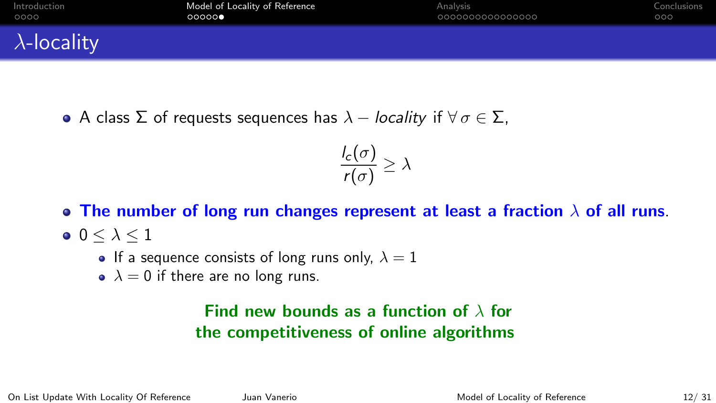| Introduction        | Model of Locality of Reference | Analysis        | Conclusions |
|---------------------|--------------------------------|-----------------|-------------|
| 0000                | 00000                          | 000000000000000 | 000         |
| $\lambda$ -locality |                                |                 |             |

• A class Σ of requests sequences has  $\lambda$  – locality if  $\forall \sigma \in \Sigma$ ,

$$
\frac{l_c(\sigma)}{r(\sigma)} \geq \lambda
$$

- The number of long run changes represent at least a fraction  $\lambda$  of all runs.
- $\bullet$  0  $< \lambda < 1$ 
	- If a sequence consists of long runs only,  $\lambda = 1$
	- $\lambda = 0$  if there are no long runs.

## Find new bounds as a function of  $\lambda$  for the competitiveness of online algorithms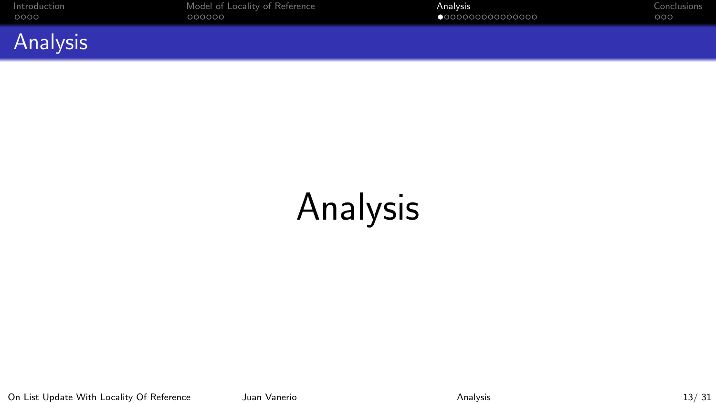<span id="page-12-0"></span>



# Analysis

On List Update With Locality Of Reference Juan Vanerio [Analysis](#page-12-0) Analysis 13/ 31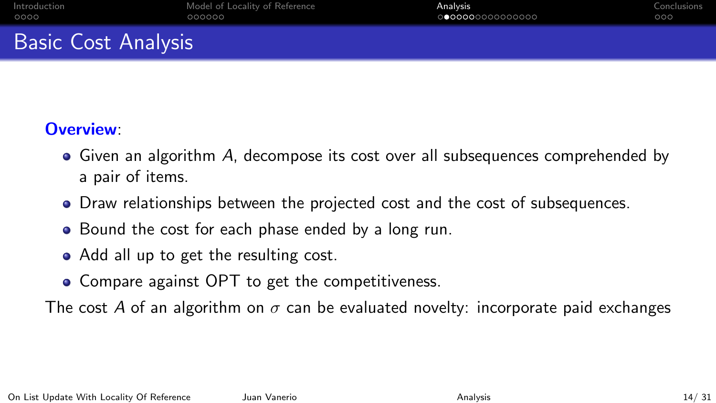# <span id="page-13-0"></span>Basic Cost Analysis

## Overview:

- Given an algorithm A, decompose its cost over all subsequences comprehended by a pair of items.
- Draw relationships between the projected cost and the cost of subsequences.
- Bound the cost for each phase ended by a long run.
- Add all up to get the resulting cost.
- Compare against OPT to get the competitiveness.

The cost A of an algorithm on  $\sigma$  can be evaluated novelty: incorporate paid exchanges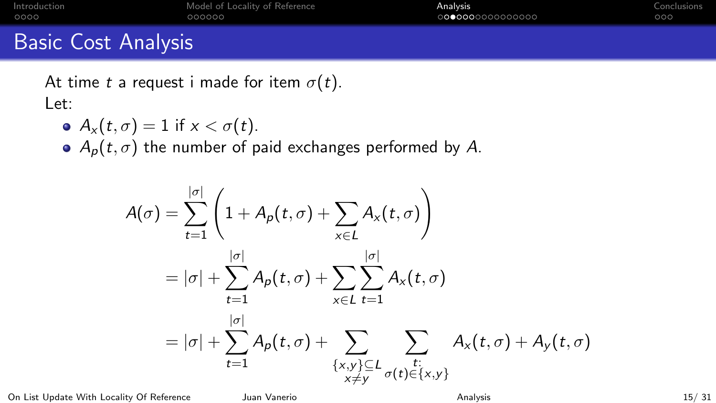| Introduction               | Model of Locality of Reference | Analysis         | Conclusions |
|----------------------------|--------------------------------|------------------|-------------|
| 0000                       | 000000                         | 0000000000000000 | 000         |
| <b>Basic Cost Analysis</b> |                                |                  |             |

At time t a request i made for item  $\sigma(t)$ . Let:

 $A_x(t, \sigma) = 1$  if  $x < \sigma(t)$ .

 $\bullet$  A<sub>p</sub>(t,  $\sigma$ ) the number of paid exchanges performed by A.

$$
A(\sigma) = \sum_{t=1}^{|\sigma|} \left( 1 + A_p(t, \sigma) + \sum_{x \in L} A_x(t, \sigma) \right)
$$
  
=  $|\sigma| + \sum_{t=1}^{|\sigma|} A_p(t, \sigma) + \sum_{x \in L} \sum_{t=1}^{|\sigma|} A_x(t, \sigma)$   
=  $|\sigma| + \sum_{t=1}^{|\sigma|} A_p(t, \sigma) + \sum_{\substack{\{x, y\} \subseteq L \\ x \neq y}} \sum_{\sigma(t) \in \{x, y\}} A_x(t, \sigma) + A_y(t, \sigma)$ 

On List Update With Locality Of Reference Juan Vanerio Juan Vanerio [Analysis](#page-12-0) Analysis 15/31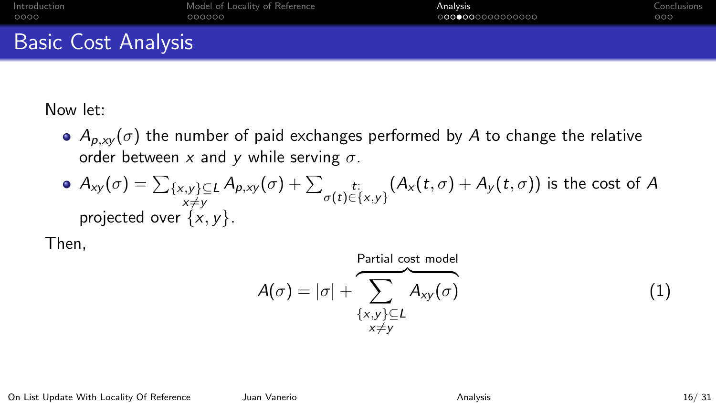| Introduction               | Model of Locality of Reference | Analysis         | Conclusions |
|----------------------------|--------------------------------|------------------|-------------|
| 0000                       | 000000                         | 0000000000000000 | 000         |
| <b>Basic Cost Analysis</b> |                                |                  |             |

Now let:

 $A_{p,xy}(\sigma)$  the number of paid exchanges performed by A to change the relative order between x and y while serving  $\sigma$ .

• 
$$
A_{xy}(\sigma) = \sum_{\substack{\{x,y\} \subseteq L \\ x \neq y}} A_{p,xy}(\sigma) + \sum_{\substack{t:\\ \sigma(t) \in \{x,y\}}} (A_x(t,\sigma) + A_y(t,\sigma))
$$
 is the cost of A projected over  $\{x,y\}$ .

Then,

<span id="page-15-0"></span>
$$
A(\sigma) = |\sigma| + \sum_{\substack{\{x,y\} \subseteq L \\ x \neq y}}^{\text{Partial cost model}} A_{xy}(\sigma)
$$
 (1)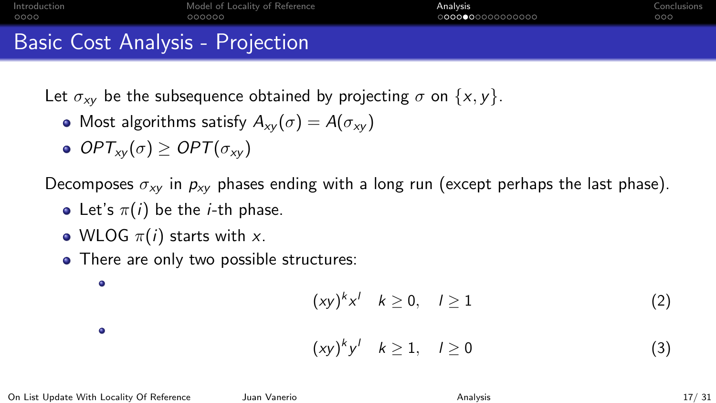| Introduction                     | Model of Locality of Reference | Analysis        | Conclusions |
|----------------------------------|--------------------------------|-----------------|-------------|
| 0000                             | 000000                         | 000000000000000 | 000         |
| Basic Cost Analysis - Projection |                                |                 |             |

Let  $\sigma_{xy}$  be the subsequence obtained by projecting  $\sigma$  on  $\{x, y\}$ .

- Most algorithms satisfy  $A_{xy}(\sigma) = A(\sigma_{xy})$
- $\bullet$  OPT<sub>xy</sub>( $\sigma$ ) > OPT( $\sigma_{xy}$ )

Decomposes  $\sigma_{xy}$  in  $p_{xy}$  phases ending with a long run (except perhaps the last phase).

- Let's  $\pi(i)$  be the *i*-th phase.
- WLOG  $\pi(i)$  starts with x.
- There are only two possible structures:

$$
(xy)^k x^l \quad k \ge 0, \quad l \ge 1 \tag{2}
$$

 $\bullet$ 

 $\bullet$ 

$$
(xy)^k y^l \quad k \ge 1, \quad l \ge 0 \tag{3}
$$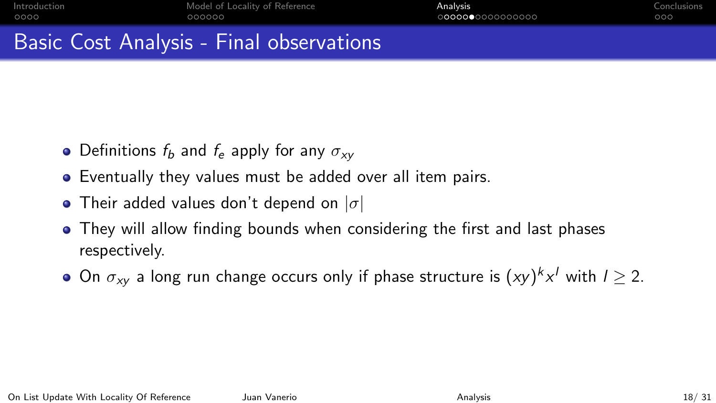0000000000000000

# Basic Cost Analysis - Final observations

- Definitions  $f_b$  and  $f_e$  apply for any  $\sigma_{xy}$
- Eventually they values must be added over all item pairs.
- Their added values don't depend on  $|\sigma|$
- They will allow finding bounds when considering the first and last phases respectively.
- On  $\sigma_{xy}$  a long run change occurs only if phase structure is  $(xy)^k x^l$  with  $l\geq 2.$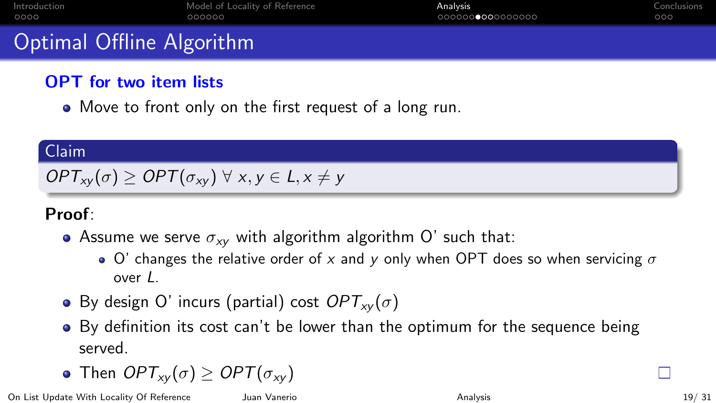<span id="page-18-0"></span>

| Introduction |  |
|--------------|--|
| 0000         |  |

# Optimal Offline Algorithm

## OPT for two item lists

Move to front only on the first request of a long run.

#### Claim

# $OPT_{xy}(\sigma) \geq OPT(\sigma_{xy}) \ \forall \ x, y \in L, x \neq y$

## Proof:

- Assume we serve  $\sigma_{xy}$  with algorithm algorithm O' such that:
	- $\bullet$  O' changes the relative order of x and y only when OPT does so when servicing  $\sigma$ over L.
- By design O' incurs (partial) cost  $OPT_{xv}(\sigma)$
- By definition its cost can't be lower than the optimum for the sequence being served.

• Then 
$$
OPT_{xy}(\sigma) \ge OPT(\sigma_{xy})
$$

On List Update With Locality Of Reference Juan Vanerio Juan [Analysis](#page-12-0) Analysis Analysis 19/31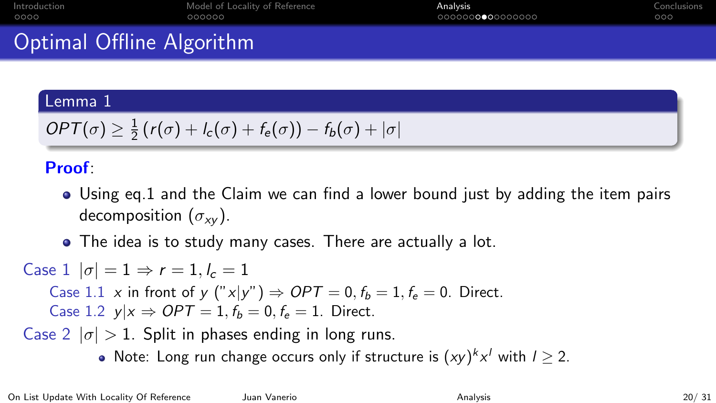| Introduction |
|--------------|
| 0000         |

**[Introduction](#page-2-0) [Model of Locality of Reference](#page-6-0)** [Analysis](#page-12-0) **Analysis** [Conclusions](#page-28-0) Conclusions cococo

0000000000000000

# Optimal Offline Algorithm

#### Lemma 1

$$
OPT(\sigma) \geq \frac{1}{2} (r(\sigma) + l_c(\sigma) + f_e(\sigma)) - f_b(\sigma) + |\sigma|
$$

## Proof:

- Using eq[.1](#page-15-0) and the Claim we can find a lower bound just by adding the item pairs decomposition  $(\sigma_{xy})$ .
- The idea is to study many cases. There are actually a lot.

Case  $1 | \sigma | = 1 \Rightarrow r = 1, l_c = 1$ 

Case 1.1 x in front of y ("x|y")  $\Rightarrow$  OPT = 0,  $f_b = 1, f_e = 0$ . Direct. Case 1.2  $y|x \Rightarrow OPT = 1, f_b = 0, f_e = 1$ . Direct.

Case 2  $|\sigma| > 1$ . Split in phases ending in long runs.

Note: Long run change occurs only if structure is  $(xy)^k x^l$  with  $l \geq 2$ .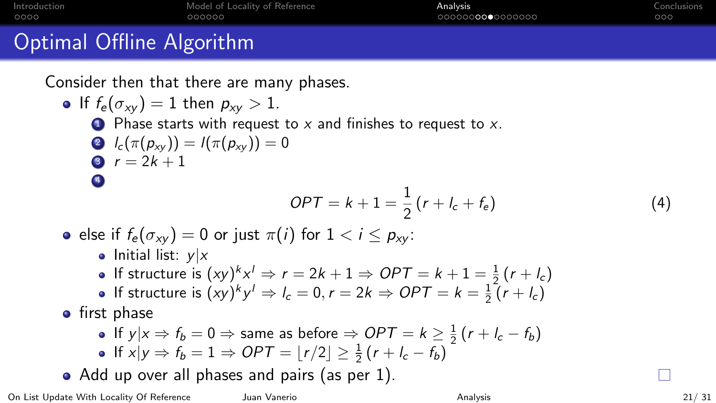| Introduction |  |
|--------------|--|
| 0000         |  |

[Model of Locality of Reference](#page-6-0) **[Analysis](#page-12-0) Analysis** [Conclusions](#page-28-0) Conclusions 000000

000000**000**0000000

 $000$ 

# Optimal Offline Algorithm

Consider then that there are many phases.

- If  $f_e(\sigma_{xy}) = 1$  then  $p_{xy} > 1$ .  $\bullet$  Phase starts with request to x and finishes to request to x. 2  $l_c(\pi(p_{xy})) = l(\pi(p_{xy})) = 0$ 3  $r = 2k + 1$ 4  $OPT = k + 1 = \frac{1}{2} (r + l_c + f_e)$  (4) e else if  $f_e(\sigma_{xy}) = 0$  or just  $\pi(i)$  for  $1 \lt i \lt p_{xy}$ : • Initial list:  $y|x$ If structure is  $(xy)^k x^l \Rightarrow r = 2k + 1 \Rightarrow OPT = k + 1 = \frac{1}{2}(r + l_c)$ If structure is  $(xy)^k y^l \Rightarrow l_c = 0, r = 2k \Rightarrow OPT = k = \frac{1}{2}(r + l_c)$ • first phase If  $y|x \Rightarrow f_b = 0 \Rightarrow$  same as before  $\Rightarrow$   $OPT = k \geq \frac{1}{2}(r + l_c - f_b)$ If  $x|y \Rightarrow f_b = 1 \Rightarrow OPT = \lfloor r/2 \rfloor \ge \frac{1}{2} (r + l_c - f_b)$
- Add up over all phases and pairs (as per [1\)](#page-15-0).

On List Update With Locality Of Reference Juan Vanerio **Analysis** [Analysis](#page-12-0) **Analysis** 21/ 31

г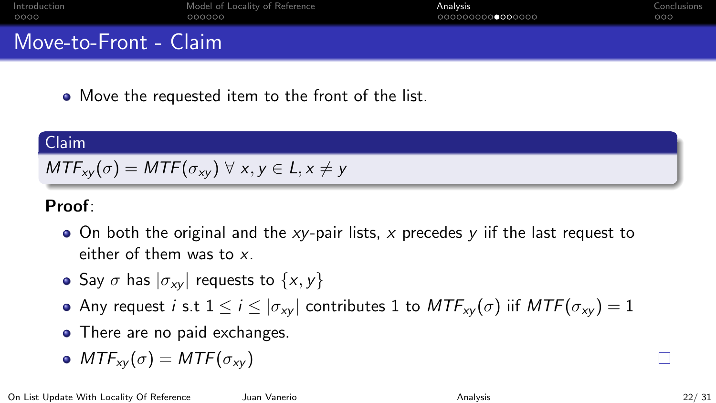<span id="page-21-0"></span>

| Introduction<br>0000  | Model of Locality of Reference<br>000000 | Analysis<br>000000000●000000 | Conclusions<br>000 |
|-----------------------|------------------------------------------|------------------------------|--------------------|
| Move-to-Front - Claim |                                          |                              |                    |
|                       |                                          |                              |                    |

• Move the requested item to the front of the list.

#### Claim

$$
MTF_{xy}(\sigma) = MTF(\sigma_{xy}) \ \forall \ x, y \in L, x \neq y
$$

### Proof:

- $\bullet$  On both the original and the xy-pair lists, x precedes y iif the last request to either of them was to  $x$ .
- Say  $\sigma$  has  $|\sigma_{xy}|$  requests to  $\{x, y\}$
- Any request i s.t  $1 \le i \le |\sigma_{xy}|$  contributes 1 to  $MTF_{xy}(\sigma)$  iif  $MTF(\sigma_{xy}) = 1$
- There are no paid exchanges.
- $MTF_{xy}(\sigma) = MTF(\sigma_{xy})$

П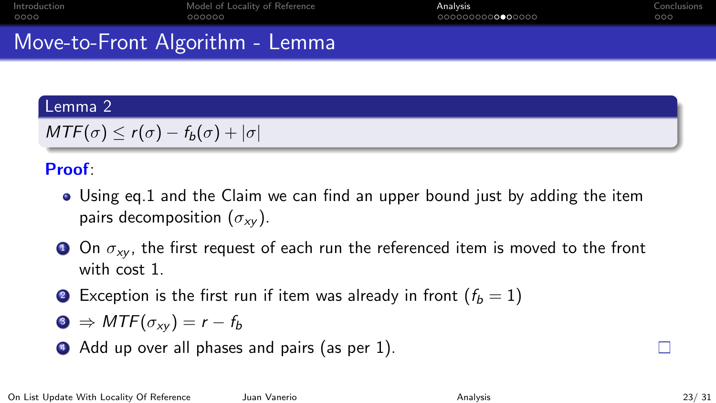# Move-to-Front Algorithm - Lemma

### Lemma 2

 $MTF(\sigma) \leq r(\sigma) - f_b(\sigma) + |\sigma|$ 

## Proof:

- Using eq[.1](#page-15-0) and the Claim we can find an upper bound just by adding the item pairs decomposition  $(\sigma_{xy})$ .
- **1** On  $\sigma_{xy}$ , the first request of each run the referenced item is moved to the front with cost 1.
- **2** Exception is the first run if item was already in front  $(f_b = 1)$

$$
MTF(\sigma_{xy})=r-f_b
$$

4 Add up over all phases and pairs (as per [1\)](#page-15-0).

П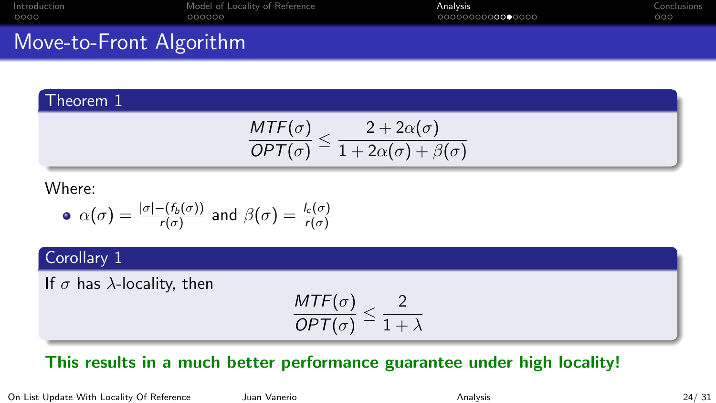|      | Introduction |
|------|--------------|
| 0000 |              |

# Move-to-Front Algorithm

#### Theorem 1

$$
\frac{\mathit{MTF}(\sigma)}{\mathit{OPT}(\sigma)} \leq \frac{2 + 2\alpha(\sigma)}{1 + 2\alpha(\sigma) + \beta(\sigma)}
$$

#### Where:

• 
$$
\alpha(\sigma) = \frac{|\sigma| - (f_b(\sigma))}{r(\sigma)}
$$
 and  $\beta(\sigma) = \frac{I_c(\sigma)}{r(\sigma)}$ 

### Corollary 1

If  $\sigma$  has  $\lambda$ -locality, then

$$
\frac{\mathsf{MTF}(\sigma)}{\mathsf{OPT}(\sigma)} \leq \frac{2}{1+\lambda}
$$

## This results in a much better performance guarantee under high locality!

On List Update With Locality Of Reference Juan Vanerio [Analysis](#page-12-0) Analysis 24/ 31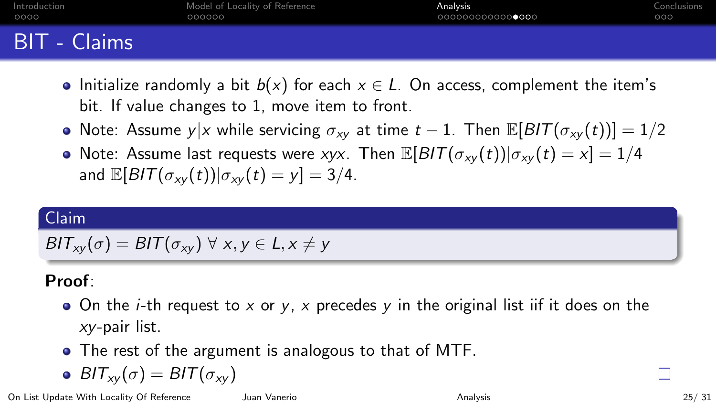<span id="page-24-0"></span>

| Introduction        | Model of Locality of Reference | <b>Analysis</b>  | Conclusions |
|---------------------|--------------------------------|------------------|-------------|
| 0000                | 000000                         | 0000000000000000 | 000         |
| <b>BIT</b> - Claims |                                |                  |             |

- Initialize randomly a bit  $b(x)$  for each  $x \in L$ . On access, complement the item's bit. If value changes to 1, move item to front.
- Note: Assume y|x while servicing  $\sigma_{xy}$  at time  $t 1$ . Then  $\mathbb{E}[B/T(\sigma_{xy}(t))] = 1/2$
- Note: Assume last requests were xyx. Then  $\mathbb{E}[B/T(\sigma_{xy}(t))|\sigma_{xy}(t) = x] = 1/4$ and  $\mathbb{E}[B/T(\sigma_{xy}(t))] \sigma_{xy}(t) = y] = 3/4.$

#### Claim

$$
BIT_{xy}(\sigma) = BIT(\sigma_{xy}) \ \forall \ x, y \in L, x \neq y
$$

## Proof:

- $\bullet$  On the *i*-th request to x or y, x precedes y in the original list iif it does on the xy-pair list.
- The rest of the argument is analogous to that of MTF.

$$
\bullet \,\, BlT_{xy}(\sigma)=BlT(\sigma_{xy})
$$

On List Update With Locality Of Reference Juan Vanerio Juan [Analysis](#page-12-0) Analysis 25/31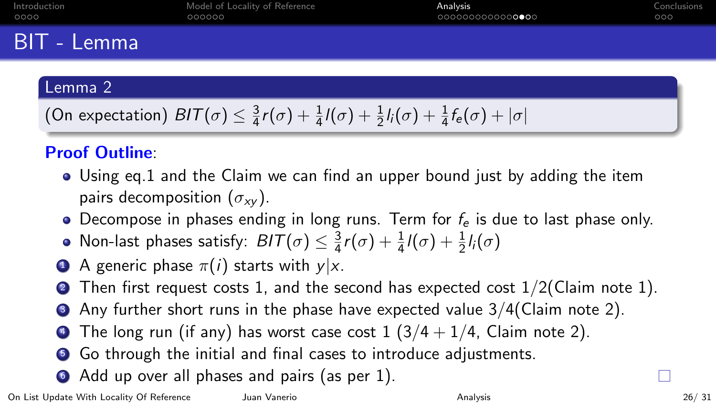# BIT - Lemma

#### Lemma 2

(On expectation) 
$$
BIT(\sigma) \leq \frac{3}{4}r(\sigma) + \frac{1}{4}l(\sigma) + \frac{1}{2}l_i(\sigma) + \frac{1}{4}f_e(\sigma) + |\sigma|
$$

## Proof Outline:

- Using eq[.1](#page-15-0) and the Claim we can find an upper bound just by adding the item pairs decomposition  $(\sigma_{xy})$ .
- Decompose in phases ending in long runs. Term for  $f_e$  is due to last phase only.
- Non-last phases satisfy:  $BIT(\sigma) \leq \frac{3}{4}$  $\frac{3}{4}r(\sigma)+\frac{1}{4}l(\sigma)+\frac{1}{2}l_i(\sigma)$
- **4** A generic phase  $\pi(i)$  starts with  $y|x$ .
- **2** Then first request costs 1, and the second has expected cost  $1/2$  (Claim note 1).
- $\bullet$  Any further short runs in the phase have expected value  $3/4$  (Claim note 2).
- The long run (if any) has worst case cost  $1$  ( $3/4 + 1/4$ , Claim note 2).
- <sup>5</sup> Go through the initial and final cases to introduce adjustments.
- Add up over all phases and pairs (as per [1\)](#page-15-0).

П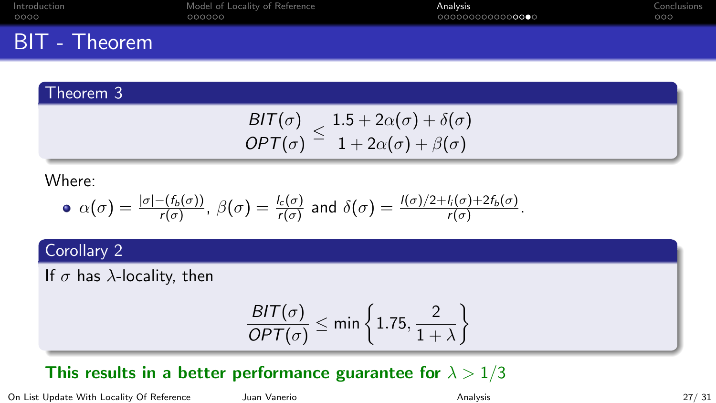|      | Introduction |
|------|--------------|
| 0000 |              |

# BIT - Theorem

## Theorem 3

$$
\frac{\mathit{BIT}(\sigma)}{\mathit{OPT}(\sigma)} \leq \frac{1.5 + 2\alpha(\sigma) + \delta(\sigma)}{1 + 2\alpha(\sigma) + \beta(\sigma)}
$$

#### Where:

• 
$$
\alpha(\sigma) = \frac{|\sigma| - (f_b(\sigma))}{r(\sigma)}
$$
,  $\beta(\sigma) = \frac{l_c(\sigma)}{r(\sigma)}$  and  $\delta(\sigma) = \frac{l(\sigma)/2 + l_i(\sigma) + 2f_b(\sigma)}{r(\sigma)}$ .

### Corollary 2

If  $\sigma$  has  $\lambda$ -locality, then

$$
\frac{\mathit{BIT}(\sigma)}{\mathit{OPT}(\sigma)} \leq \min\left\{1.75,\frac{2}{1+\lambda}\right\}
$$

## This results in a better performance guarantee for  $\lambda > 1/3$

On List Update With Locality Of Reference Juan Vanerio Juan Vanerio [Analysis](#page-12-0) Analysis 27/ 31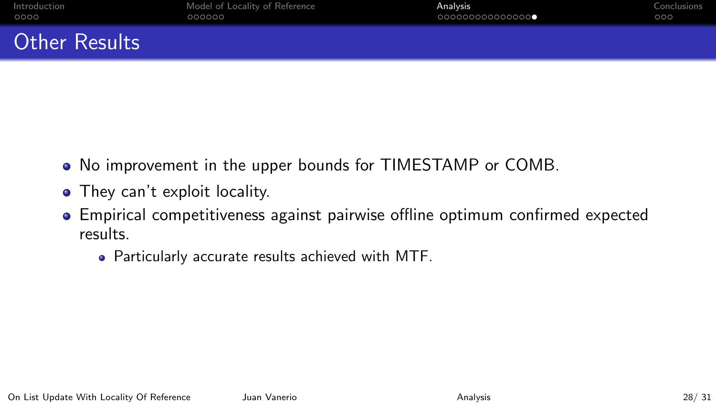# <span id="page-27-0"></span>Other Results

- No improvement in the upper bounds for TIMESTAMP or COMB.
- They can't exploit locality.
- Empirical competitiveness against pairwise offline optimum confirmed expected results.
	- Particularly accurate results achieved with MTF.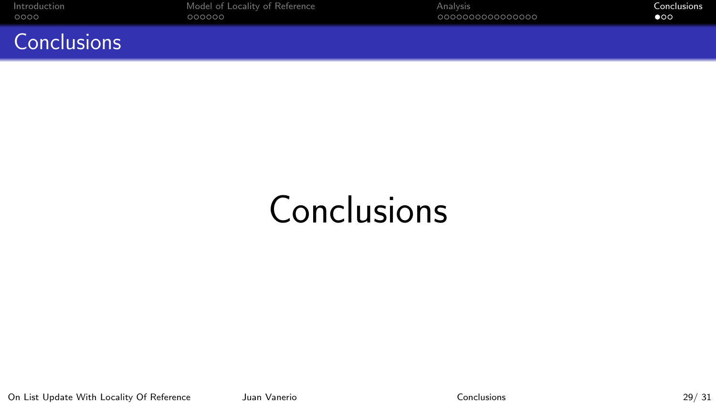<span id="page-28-0"></span>

**Conclusions** 

[Introduction](#page-2-0) [Model of Locality of Reference](#page-6-0) [Analysis](#page-12-0) [Conclusions](#page-28-0)

# **Conclusions**

On List Update With Locality Of Reference Juan Vanerio Juan Vanerio [Conclusions](#page-28-0) Conclusions 29/31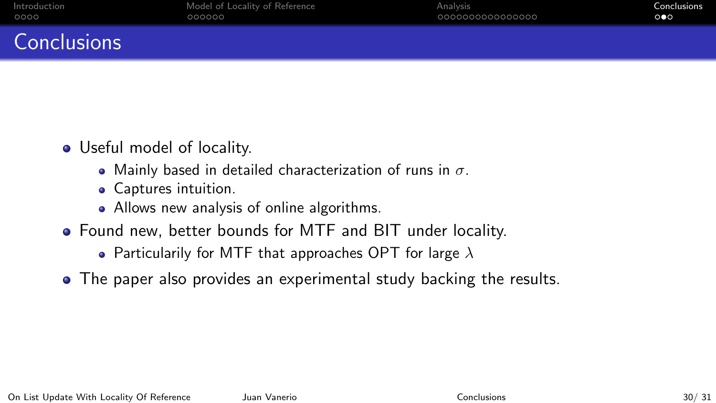# **Conclusions**

- Useful model of locality.
	- Mainly based in detailed characterization of runs in  $\sigma$ .
	- Captures intuition.
	- Allows new analysis of online algorithms.
- Found new, better bounds for MTF and BIT under locality.
	- Particularily for MTF that approaches OPT for large  $\lambda$
- The paper also provides an experimental study backing the results.